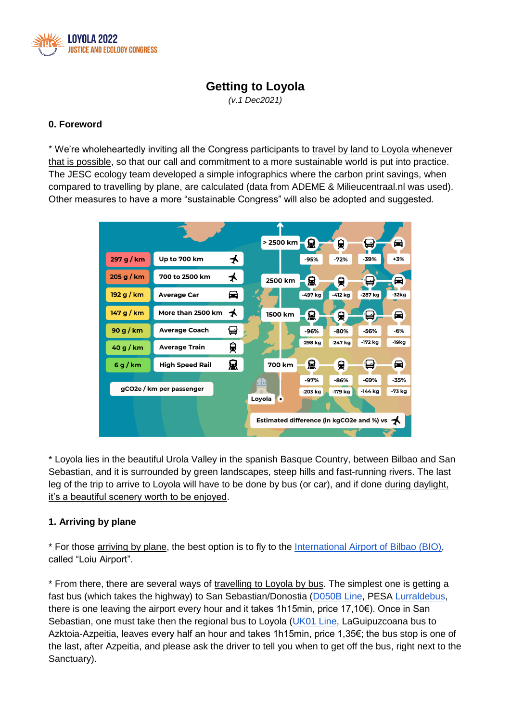

# **Getting to Loyola**

*(v.1 Dec2021)*

### **0. Foreword**

\* We're wholeheartedly inviting all the Congress participants to travel by land to Loyola whenever that is possible, so that our call and commitment to a more sustainable world is put into practice. The JESC ecology team developed a simple infographics where the carbon print savings, when compared to travelling by plane, are calculated (data from ADEME & Milieucentraal.nl was used). Other measures to have a more "sustainable Congress" will also be adopted and suggested.



\* Loyola lies in the beautiful Urola Valley in the spanish Basque Country, between Bilbao and San Sebastian, and it is surrounded by green landscapes, steep hills and fast-running rivers. The last leg of the trip to arrive to Loyola will have to be done by bus (or car), and if done during daylight, it's a beautiful scenery worth to be enjoyed.

## **1. Arriving by plane**

\* For those arriving by plane, the best option is to fly to the [International Airport of Bilbao \(BIO\),](https://www.aena.es/en/bilbao.html) called "Loiu Airport".

\* From there, there are several ways of travelling to Loyola by bus. The simplest one is getting a fast bus (which takes the highway) to San Sebastian/Donostia [\(D050B Line,](https://www.pesa.net/pesa/descargas/proximo/DO50B.pdf?t=1639393400) PESA Lurraldebus, there is one leaving the airport every hour and it takes 1h15min, price 17,10€). Once in San Sebastian, one must take then the regional bus to Loyola [\(UK01 Line,](https://www.laguipuzcoana.eus/es/lineas-y-horarios/azkoitia-donostia/) LaGuipuzcoana bus to Azktoia-Azpeitia, leaves every half an hour and takes 1h15min, price 1,35€; the bus stop is one of the last, after Azpeitia, and please ask the driver to tell you when to get off the bus, right next to the Sanctuary).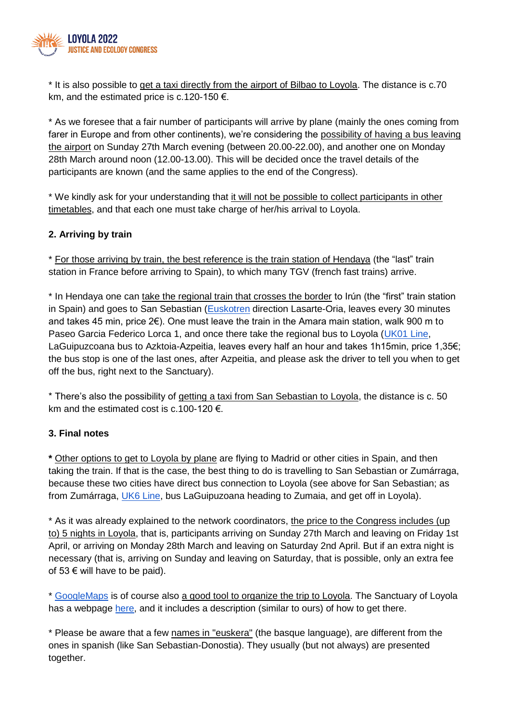

\* It is also possible to get a taxi directly from the airport of Bilbao to Loyola. The distance is c.70 km, and the estimated price is c.120-150  $\epsilon$ .

\* As we foresee that a fair number of participants will arrive by plane (mainly the ones coming from farer in Europe and from other continents), we're considering the possibility of having a bus leaving the airport on Sunday 27th March evening (between 20.00-22.00), and another one on Monday 28th March around noon (12.00-13.00). This will be decided once the travel details of the participants are known (and the same applies to the end of the Congress).

\* We kindly ask for your understanding that it will not be possible to collect participants in other timetables, and that each one must take charge of her/his arrival to Loyola.

## **2. Arriving by train**

\* For those arriving by train, the best reference is the train station of Hendaya (the "last" train station in France before arriving to Spain), to which many TGV (french fast trains) arrive.

\* In Hendaya one can take the regional train that crosses the border to Irún (the "first" train station in Spain) and goes to San Sebastian [\(Euskotren](https://www.euskotren.eus/sites/default/files/horarios/E2_HendaiaLasarte_2de2_CARTEL_50x70cm_Invierno_2021.pdf) direction Lasarte-Oria, leaves every 30 minutes and takes 45 min, price 2€). One must leave the train in the Amara main station, walk 900 m to Paseo Garcia Federico Lorca 1, and once there take the regional bus to Loyola [\(UK01 Line,](https://www.laguipuzcoana.eus/es/lineas-y-horarios/azkoitia-donostia/) LaGuipuzcoana bus to Azktoia-Azpeitia, leaves every half an hour and takes 1h15min, price 1,35€; the bus stop is one of the last ones, after Azpeitia, and please ask the driver to tell you when to get off the bus, right next to the Sanctuary).

\* There's also the possibility of getting a taxi from San Sebastian to Loyola, the distance is c. 50 km and the estimated cost is c.100-120  $\epsilon$ .

#### **3. Final notes**

**\*** Other options to get to Loyola by plane are flying to Madrid or other cities in Spain, and then taking the train. If that is the case, the best thing to do is travelling to San Sebastian or Zumárraga, because these two cities have direct bus connection to Loyola (see above for San Sebastian; as from Zumárraga, [UK6 Line,](https://loyola.global/docs/Zumarraga-Azpeitia.pdf) bus LaGuipuzoana heading to Zumaia, and get off in Loyola).

\* As it was already explained to the network coordinators, the price to the Congress includes (up to) 5 nights in Loyola, that is, participants arriving on Sunday 27th March and leaving on Friday 1st April, or arriving on Monday 28th March and leaving on Saturday 2nd April. But if an extra night is necessary (that is, arriving on Sunday and leaving on Saturday, that is possible, only an extra fee of 53  $€$  will have to be paid).

\* [GoogleMaps](https://www.google.com/maps) is of course also a good tool to organize the trip to Loyola. The Sanctuary of Loyola has a webpage [here,](https://loyola.global/en/) and it includes a description (similar to ours) of how to get there.

\* Please be aware that a few names in "euskera" (the basque language), are different from the ones in spanish (like San Sebastian-Donostia). They usually (but not always) are presented together.